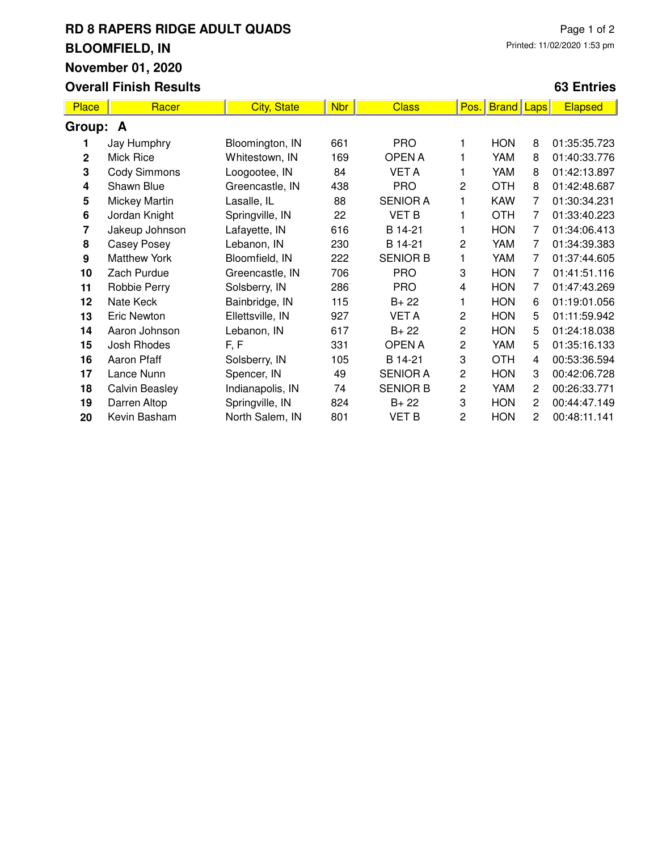# **RD 8 RAPERS RIDGE ADULT QUADS BLOOMFIELD, IN November 01, 2020**

### **Overall Finish Results**

### **63 Entries**

| <b>Place</b>   | Racer                 | <b>City, State</b> | <b>Nbr</b> | <b>Class</b>    | Pos.           | <b>Brand</b> Laps |                | <b>Elapsed</b> |  |  |
|----------------|-----------------------|--------------------|------------|-----------------|----------------|-------------------|----------------|----------------|--|--|
| Group: A       |                       |                    |            |                 |                |                   |                |                |  |  |
| 1              | Jay Humphry           | Bloomington, IN    | 661        | <b>PRO</b>      |                | <b>HON</b>        | 8              | 01:35:35.723   |  |  |
| $\mathbf{2}$   | Mick Rice             | Whitestown, IN     | 169        | <b>OPENA</b>    |                | YAM               | 8              | 01:40:33.776   |  |  |
| 3              | <b>Cody Simmons</b>   | Loogootee, IN      | 84         | <b>VET A</b>    | 1              | YAM               | 8              | 01:42:13.897   |  |  |
| 4              | Shawn Blue            | Greencastle, IN    | 438        | <b>PRO</b>      | $\overline{2}$ | <b>OTH</b>        | 8              | 01:42:48.687   |  |  |
| 5              | <b>Mickey Martin</b>  | Lasalle, IL        | 88         | <b>SENIOR A</b> | 1              | <b>KAW</b>        | 7              | 01:30:34.231   |  |  |
| 6              | Jordan Knight         | Springville, IN    | 22         | <b>VET B</b>    | 1              | <b>OTH</b>        | 7              | 01:33:40.223   |  |  |
| $\overline{7}$ | Jakeup Johnson        | Lafayette, IN      | 616        | B 14-21         | 1              | <b>HON</b>        | $\overline{7}$ | 01:34:06.413   |  |  |
| 8              | Casey Posey           | Lebanon, IN        | 230        | B 14-21         | 2              | YAM               | 7              | 01:34:39.383   |  |  |
| 9              | <b>Matthew York</b>   | Bloomfield, IN     | 222        | <b>SENIOR B</b> | 1              | YAM               | $\overline{7}$ | 01:37:44.605   |  |  |
| 10             | Zach Purdue           | Greencastle, IN    | 706        | <b>PRO</b>      | 3              | <b>HON</b>        | $\overline{7}$ | 01:41:51.116   |  |  |
| 11             | Robbie Perry          | Solsberry, IN      | 286        | <b>PRO</b>      | 4              | <b>HON</b>        | 7              | 01:47:43.269   |  |  |
| 12             | Nate Keck             | Bainbridge, IN     | 115        | $B + 22$        | 1              | <b>HON</b>        | 6              | 01:19:01.056   |  |  |
| 13             | Eric Newton           | Ellettsville, IN   | 927        | <b>VET A</b>    | $\overline{c}$ | <b>HON</b>        | 5              | 01:11:59.942   |  |  |
| 14             | Aaron Johnson         | Lebanon, IN        | 617        | $B + 22$        | $\overline{c}$ | <b>HON</b>        | 5              | 01:24:18.038   |  |  |
| 15             | Josh Rhodes           | F, F               | 331        | <b>OPENA</b>    | 2              | YAM               | 5              | 01:35:16.133   |  |  |
| 16             | Aaron Pfaff           | Solsberry, IN      | 105        | B 14-21         | 3              | <b>OTH</b>        | 4              | 00:53:36.594   |  |  |
| 17             | Lance Nunn            | Spencer, IN        | 49         | <b>SENIOR A</b> | $\overline{c}$ | <b>HON</b>        | 3              | 00:42:06.728   |  |  |
| 18             | <b>Calvin Beasley</b> | Indianapolis, IN   | 74         | <b>SENIOR B</b> | $\overline{c}$ | YAM               | $\mathbf{2}$   | 00:26:33.771   |  |  |
| 19             | Darren Altop          | Springville, IN    | 824        | $B + 22$        | 3              | <b>HON</b>        | 2              | 00:44:47.149   |  |  |
| 20             | Kevin Basham          | North Salem, IN    | 801        | <b>VET B</b>    | $\overline{c}$ | <b>HON</b>        | 2              | 00:48:11.141   |  |  |